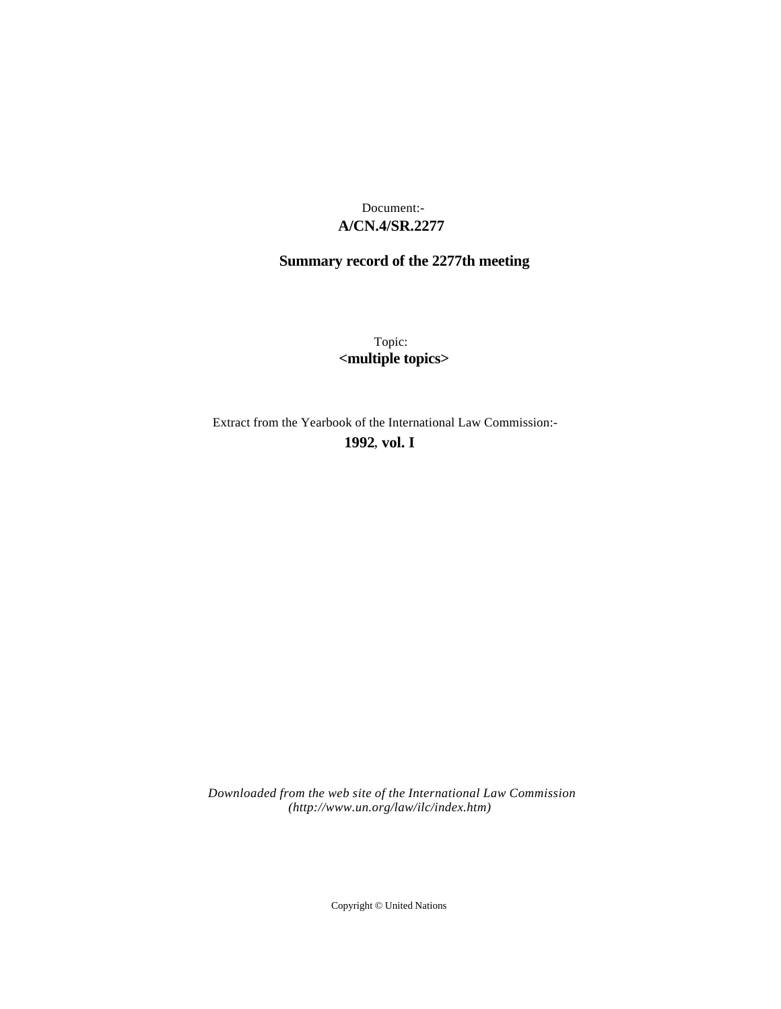# **A/CN.4/SR.2277** Document:-

# **Summary record of the 2277th meeting**

Topic: **<multiple topics>**

Extract from the Yearbook of the International Law Commission:-

**1992** , **vol. I**

*Downloaded from the web site of the International Law Commission (http://www.un.org/law/ilc/index.htm)*

Copyright © United Nations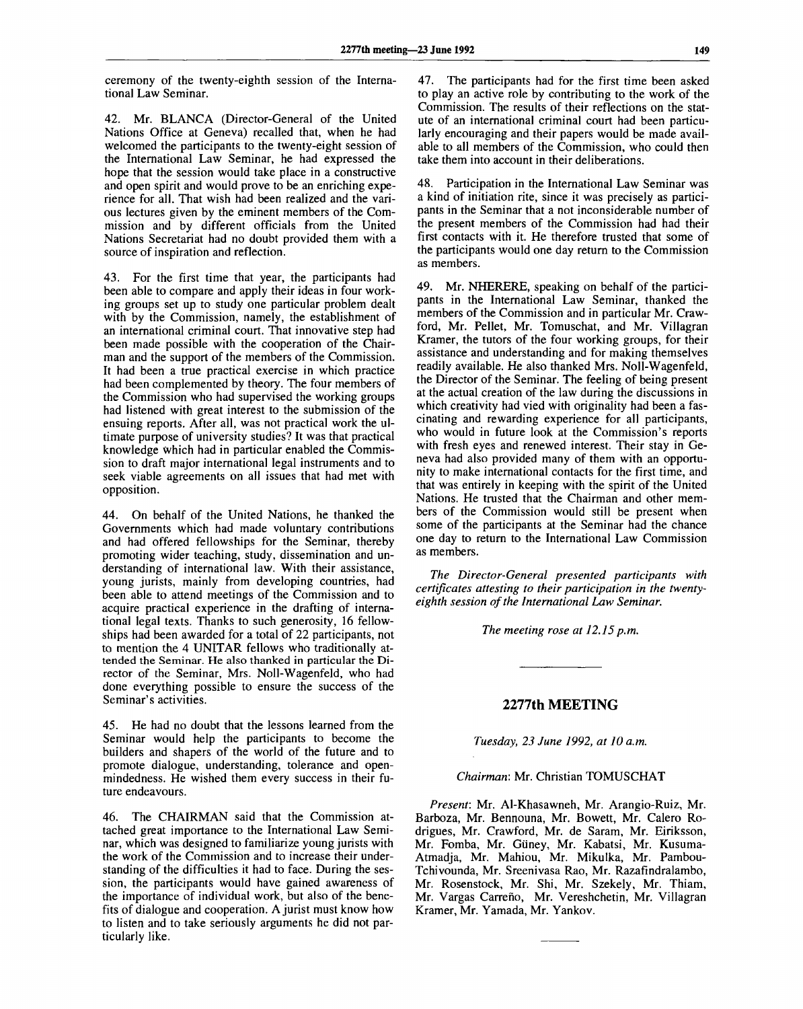ceremony of the twenty-eighth session of the International Law Seminar.

42. Mr. BLANCA (Director-General of the United Nations Office at Geneva) recalled that, when he had welcomed the participants to the twenty-eight session of the International Law Seminar, he had expressed the hope that the session would take place in a constructive and open spirit and would prove to be an enriching experience for all. That wish had been realized and the various lectures given by the eminent members of the Commission and by different officials from the United Nations Secretariat had no doubt provided them with a source of inspiration and reflection.

43. For the first time that year, the participants had been able to compare and apply their ideas in four working groups set up to study one particular problem dealt with by the Commission, namely, the establishment of an international criminal court. That innovative step had been made possible with the cooperation of the Chairman and the support of the members of the Commission. It had been a true practical exercise in which practice had been complemented by theory. The four members of the Commission who had supervised the working groups had listened with great interest to the submission of the ensuing reports. After all, was not practical work the ultimate purpose of university studies? It was that practical knowledge Which had in particular enabled the Commission to draft major international legal instruments and to seek viable agreements on all issues that had met with opposition.

44. On behalf of the United Nations, he thanked the Governments which had made voluntary contributions and had offered fellowships for the Seminar, thereby promoting wider teaching, study, dissemination and understanding of international law. With their assistance, young jurists, mainly from developing countries, had been able to attend meetings of the Commission and to acquire practical experience in the drafting of international legal texts. Thanks to such generosity, 16 fellowships had been awarded for a total of 22 participants, not to mention the 4 UNITAR fellows who traditionally attended the Seminar. He also thanked in particular the Director of the Seminar, Mrs. Noll-Wagenfeld, who had done everything possible to ensure the success of the Seminar's activities.

45. He had no doubt that the lessons learned from the Seminar would help the participants to become the builders and shapers of the world of the future and to promote dialogue, understanding, tolerance and openmindedness. He wished them every success in their future endeavours.

46. The CHAIRMAN said that the Commission attached great importance to the International Law Seminar, which was designed to familiarize young jurists with the work of the Commission and to increase their understanding of the difficulties it had to face. During the session, the participants would have gained awareness of the importance of individual work, but also of the benefits of dialogue and cooperation. A jurist must know how to listen and to take seriously arguments he did not particularly like.

47. The participants had for the first time been asked to play an active role by contributing to the work of the Commission. The results of their reflections on the statute of an international criminal court had been particularly encouraging and their papers would be made available to all members of the Commission, who could then take them into account in their deliberations.

48. Participation in the International Law Seminar was a kind of initiation rite, since it was precisely as participants in the Seminar that a not inconsiderable number of the present members of the Commission had had their first contacts with it. He therefore trusted that some of the participants would one day return to the Commission as members.

49. Mr. NHERERE, speaking on behalf of the participants in the International Law Seminar, thanked the members of the Commission and in particular Mr. Crawford, Mr. Pellet, Mr. Tomuschat, and Mr. Villagran Kramer, the tutors of the four working groups, for their assistance and understanding and for making themselves readily available. He also thanked Mrs. Noll-Wagenfeld, the Director of the Seminar. The feeling of being present at the actual creation of the law during the discussions in which creativity had vied with originality had been a fascinating and rewarding experience for all participants, who would in future look at the Commission's reports with fresh eyes and renewed interest. Their stay in Geneva had also provided many of them with an opportunity to make international contacts for the first time, and that was entirely in keeping with the spirit of the United Nations. He trusted that the Chairman and other members of the Commission would still be present when some of the participants at the Seminar had the chance one day to return to the International Law Commission as members.

*The Director-General presented participants with certificates attesting to their participation in the twentyeighth session of the International Law Seminar.*

*The meeting rose at 12.15 p.m.*

## **2277th MEETING**

*Tuesday, 23 June 1992, at 10 a.m.*

#### *Chairman:* Mr. Christian TOMUSCHAT

*Present:* Mr. Al-Khasawneh, Mr. Arangio-Ruiz, Mr. Barboza, Mr. Bennouna, Mr. Bowett, Mr. Calero Rodrigues, Mr. Crawford, Mr. de Saram, Mr. Eiriksson, Mr. Fomba, Mr. Giiney, Mr. Kabatsi, Mr. Kusuma-Atmadja, Mr. Mahiou, Mr. Mikulka, Mr. Pambou-Tchivounda, Mr. Sreenivasa Rao, Mr. Razafindralambo, Mr. Rosenstock, Mr. Shi, Mr. Szekely, Mr. Thiam, Mr. Vargas Carreño, Mr. Vereshchetin, Mr. Villagran Kramer, Mr. Yamada, Mr. Yankov.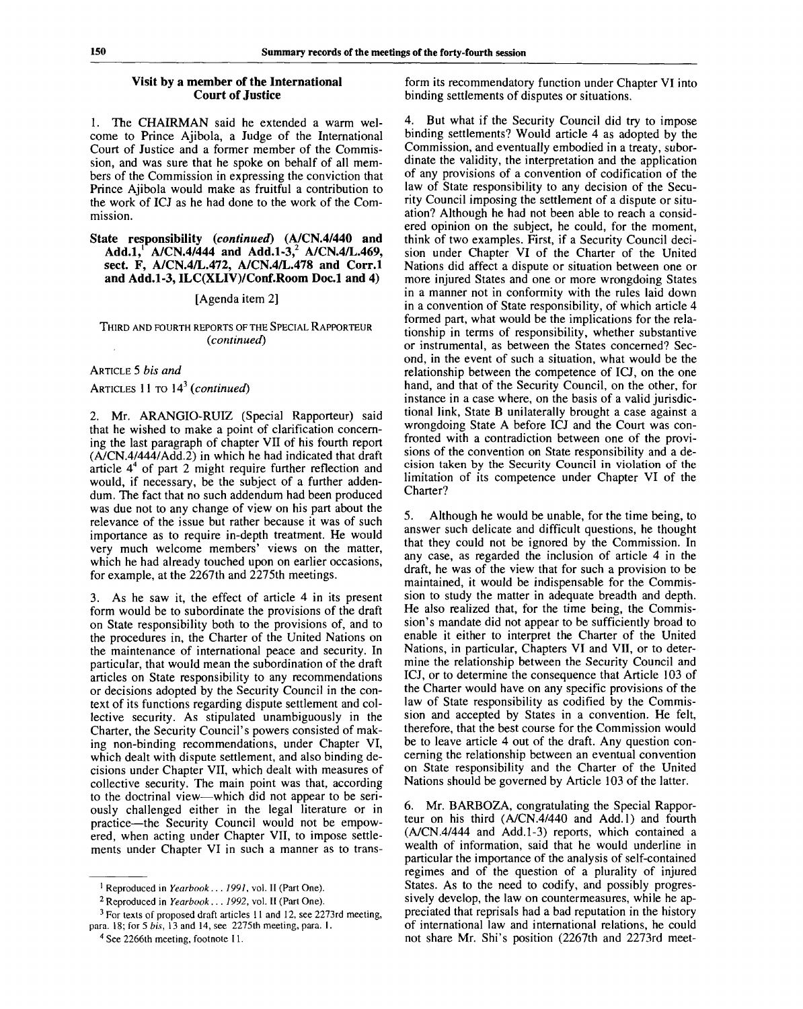## **Visit by a member of the International Court of Justice**

1. The CHAIRMAN said he extended a warm welcome to Prince Ajibola, a Judge of the International Court of Justice and a former member of the Commission, and was sure that he spoke on behalf of all members of the Commission in expressing the conviction that Prince Ajibola would make as fruitful a contribution to the work of ICJ as he had done to the work of the Commission.

## **State responsibility** *(continued)* **(A/CN.4/440 and Add.1,<sup>1</sup> A/CN.4/444 and Add.1-3,<sup>2</sup> A/CN.4/L.469, sect. F, A/CN.4/L.472, A/CN.4/L.478 and Corr.l and Add.1-3, ILC(XLIV)/Conf.Room Doc.l and 4)**

### [Agenda item 2]

### THIRD AND FOURTH REPORTS OF THE SPECIAL RAPPORTEUR *(continued)*

# ARTICLE 5 *bis and*

## ARTICLES 11 TO 14<sup>3</sup>  *(continued)*

*2.* Mr. ARANGIO-RUIZ (Special Rapporteur) said that he wished to make a point of clarification concerning the last paragraph of chapter VII of his fourth report (A/CN.4/444/Add.2) in which he had indicated that draft article  $4<sup>4</sup>$  of part 2 might require further reflection and would, if necessary, be the subject of a further addendum. The fact that no such addendum had been produced was due not to any change of view on his part about the relevance of the issue but rather because it was of such importance as to require in-depth treatment. He would very much welcome members' views on the matter, which he had already touched upon on earlier occasions, for example, at the 2267th and 2275th meetings.

3. As he saw it, the effect of article 4 in its present form would be to subordinate the provisions of the draft on State responsibility both to the provisions of, and to the procedures in, the Charter of the United Nations on the maintenance of international peace and security. In particular, that would mean the subordination of the draft articles on State responsibility to any recommendations or decisions adopted by the Security Council in the context of its functions regarding dispute settlement and collective security. As stipulated unambiguously in the Charter, the Security Council's powers consisted of making non-binding recommendations, under Chapter VI, which dealt with dispute settlement, and also binding decisions under Chapter VII, which dealt with measures of collective security. The main point was that, according to the doctrinal view—which did not appear to be seriously challenged either in the legal literature or in practice—the Security Council would not be empowered, when acting under Chapter VII, to impose settlements under Chapter VI in such a manner as to transform its recommendatory function under Chapter VI into binding settlements of disputes or situations.

4. But what if the Security Council did try to impose binding settlements? Would article 4 as adopted by the Commission, and eventually embodied in a treaty, subordinate the validity, the interpretation and the application of any provisions of a convention of codification of the law of State responsibility to any decision of the Security Council imposing the settlement of a dispute or situation? Although he had not been able to reach a considered opinion on the subject, he could, for the moment, think of two examples. First, if a Security Council decision under Chapter VI of the Charter of the United Nations did affect a dispute or situation between one or more injured States and one or more wrongdoing States in a manner not in conformity with the rules laid down in a convention of State responsibility, of which article 4 formed part, what would be the implications for the relationship in terms of responsibility, whether substantive or instrumental, as between the States concerned? Second, in the event of such a situation, what would be the relationship between the competence of ICJ, on the one hand, and that of the Security Council, on the other, for instance in a case where, on the basis of a valid jurisdictional link, State B unilaterally brought a case against a wrongdoing State A before ICJ and the Court was confronted with a contradiction between one of the provisions of the convention on State responsibility and a decision taken by the Security Council in violation of the limitation of its competence under Chapter VI of the Charter?

5. Although he would be unable, for the time being, to answer such delicate and difficult questions, he thought that they could not be ignored by the Commission. In any case, as regarded the inclusion of article 4 in the draft, he was of the view that for such a provision to be maintained, it would be indispensable for the Commission to study the matter in adequate breadth and depth. He also realized that, for the time being, the Commission's mandate did not appear to be sufficiently broad to enable it either to interpret the Charter of the United Nations, in particular, Chapters VI and VII, or to determine the relationship between the Security Council and ICJ, or to determine the consequence that Article 103 of the Charter would have on any specific provisions of the law of State responsibility as codified by the Commission and accepted by States in a convention. He felt, therefore, that the best course for the Commission would be to leave article 4 out of the draft. Any question concerning the relationship between an eventual convention on State responsibility and the Charter of the United Nations should be governed by Article 103 of the latter.

6. Mr. BARBOZA, congratulating the Special Rapporteur on his third (A/CN.4/440 and Add.l) and fourth (A/CN.4/444 and Add.1-3) reports, which contained a wealth of information, said that he would underline in particular the importance of the analysis of self-contained regimes and of the question of a plurality of injured States. As to the need to codify, and possibly progressively develop, the law on countermeasures, while he appreciated that reprisals had a bad reputation in the history of international law and international relations, he could not share Mr. Shi's position (2267th and 2273rd meet-

<sup>&</sup>lt;sup>1</sup> Reproduced in *Yearbook ... 1991*, vol. II (Part One).

<sup>2</sup> Reproduced in *Yearbook ... 1992,* vol. II (Part One).

 $3$  For texts of proposed draft articles 11 and 12, see 2273rd meeting, para. 18; for 5 *bis,* 13 and 14, see 2275th meeting, para. 1.

<sup>&</sup>lt;sup>4</sup> See 2266th meeting, footnote 11.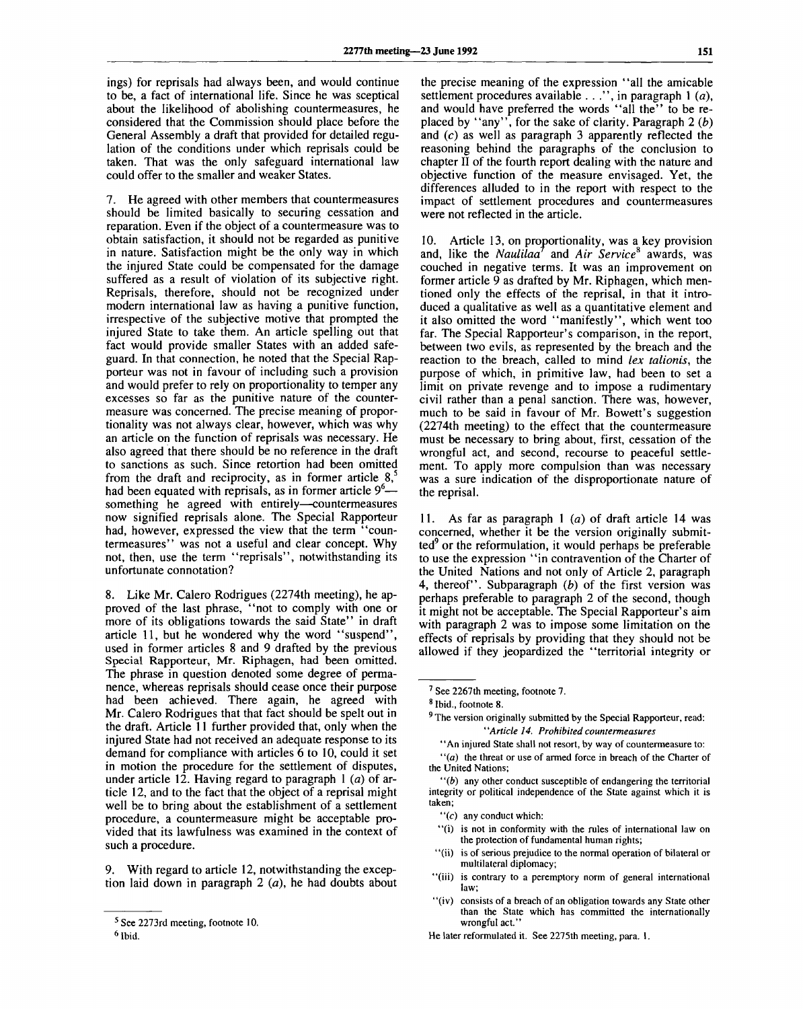ings) for reprisals had always been, and would continue to be, a fact of international life. Since he was sceptical about the likelihood of abolishing countermeasures, he considered that the Commission should place before the General Assembly a draft that provided for detailed regulation of the conditions under which reprisals could be taken. That was the only safeguard international law could offer to the smaller and weaker States.

7. He agreed with other members that countermeasures should be limited basically to securing cessation and reparation. Even if the object of a countermeasure was to obtain satisfaction, it should not be regarded as punitive in nature. Satisfaction might be the only way in which the injured State could be compensated for the damage suffered as a result of violation of its subjective right. Reprisals, therefore, should not be recognized under modern international law as having a punitive function, irrespective of the subjective motive that prompted the injured State to take them. An article spelling out that fact would provide smaller States with an added safeguard. In that connection, he noted that the Special Rapporteur was not in favour of including such a provision and would prefer to rely on proportionality to temper any excesses so far as the punitive nature of the countermeasure was concerned. The precise meaning of proportionality was not always clear, however, which was why an article on the function of reprisals was necessary. He also agreed that there should be no reference in the draft to sanctions as such. Since retortion had been omitted from the draft and reciprocity, as in former article  $8$ ,<sup>5</sup> had been equated with reprisals, as in former article  $9<sup>6</sup>$  something he agreed with entirely—countermeasures now signified reprisals alone. The Special Rapporteur had, however, expressed the view that the term "countermeasures" was not a useful and clear concept. Why not, then, use the term "reprisels", notwithstanding its unfortunate connotation?

8. Like Mr. Calero Rodrigues (2274th meeting), he approved of the last phrase, "not to comply with one or more of its obligations towards the said State" in draft article 11, but he wondered why the word "suspend", used in former articles 8 and 9 drafted by the previous Special Rapporteur, Mr. Riphagen, had been omitted. The phrase in question denoted some degree of permanence, whereas reprisals should cease once their purpose had been achieved. There again, he agreed with Mr. Calero Rodrigues that that fact should be spelt out in the draft. Article 11 further provided that, only when the injured State had not received an adequate response to its demand for compliance with articles 6 to 10, could it set in motion the procedure for the settlement of disputes, under article 12. Having regard to paragraph 1 *(a)* of article 12, and to the fact that the object of a reprisal might well be to bring about the establishment of a settlement procedure, a countermeasure might be acceptable provided that its lawfulness was examined in the context of such a procedure.

9. With regard to article 12, notwithstanding the exception laid down in paragraph 2 *(a),* he had doubts about

the precise meaning of the expression "all the amicable settlement procedures available . . .", in paragraph 1 *(a),* and would have preferred the words "all the" to be replaced by "any", for the sake of clarity. Paragraph 2 *(b)* and (c) as well as paragraph 3 apparently reflected the reasoning behind the paragraphs of the conclusion to chapter II of the fourth report dealing with the nature and objective function of the measure envisaged. Yet, the differences alluded to in the report with respect to the impact of settlement procedures and countermeasures were not reflected in the article.

10. Article 13, on proportionality, was a key provision and, like the *Naulilaa*<sup>7</sup> and *Air Service*<sup>8</sup> awards, was couched in negative terms. It was an improvement on former article 9 as drafted by Mr. Riphagen, which mentioned only the effects of the reprisal, in that it introduced a qualitative as well as a quantitative element and it also omitted the word "manifestly", which went too far. The Special Rapporteur's comparison, in the report, between two evils, as represented by the breach and the reaction to the breach, called to mind *lex talionis,* the purpose of which, in primitive law, had been to set a limit on private revenge and to impose a rudimentary civil rather than a penal sanction. There was, however, much to be said in favour of Mr. Bowett's suggestion (2274th meeting) to the effect that the countermeasure must be necessary to bring about, first, cessation of the wrongful act, and second, recourse to peaceful settlement. To apply more compulsion than was necessary was a sure indication of the disproportionate nature of the reprisal.

11. As far as paragraph 1 *(a)* of draft article 14 was concerned, whether it be the version originally submitted<sup>9</sup> or the reformulation, it would perhaps be preferable to use the expression "in contravention of the Charter of the United Nations and not only of Article 2, paragraph 4, thereof". Subparagraph *(b)* of the first version was perhaps preferable to paragraph 2 of the second, though it might not be acceptable. The Special Rapporteur's aim with paragraph 2 was to impose some limitation on the effects of reprisals by providing that they should not be allowed if they jeopardized the "territorial integrity or

- $f'(c)$  any conduct which:
- "(i) is not in conformity with the rules of international law on the protection of fundamental human rights;
- ' '(ii) is of serious prejudice to the normal operation of bilateral or multilateral diplomacy;
- "(iii) is contrary to a peremptory norm of general international law: law;
- "(iv) consists of a breach of an obligation towards any State other than the State which has committed the internationally wrongful act."

<sup>&</sup>lt;sup>5</sup> See 2273rd meeting, footnote 10.

<sup>6</sup> Ibid.

<sup>&</sup>lt;sup>7</sup> See 2267th meeting, footnote 7.

<sup>8</sup> Ibid., footnote 8.

<sup>&</sup>lt;sup>9</sup> The version originally submitted by the Special Rapporteur, read: ' *'Article 14. Prohibited countermeasures*

<sup>&</sup>quot;An injured State shall not resort, by way of countermeasure to:

*<sup>&</sup>quot;(a)* the threat or use of armed force in breach of the Charter of the United Nations;

*<sup>&</sup>quot;(b)* any other conduct susceptible of endangering the territorial integrity or political independence of the State against which it is taken;

He later reformulated it. See 2275th meeting, para. 1.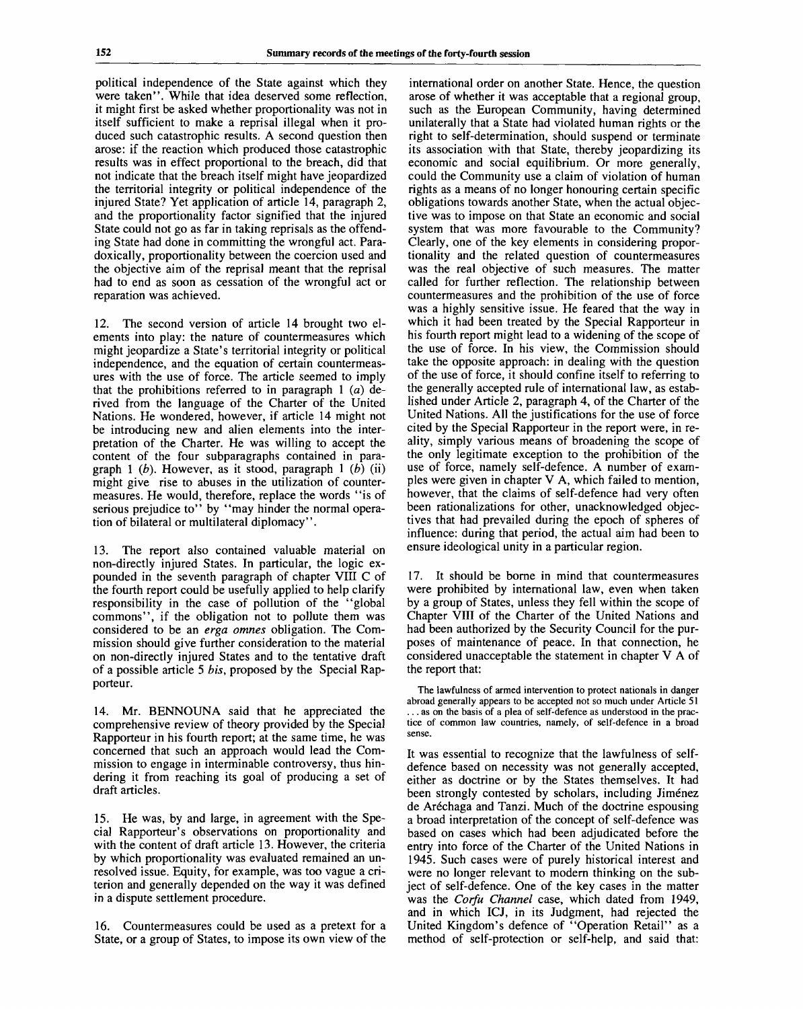political independence of the State against which they were taken". While that idea deserved some reflection, it might first be asked whether proportionality was not in itself sufficient to make a reprisal illegal when it produced such catastrophic results. A second question then arose: if the reaction which produced those catastrophic results was in effect proportional to the breach, did that not indicate that the breach itself might have jeopardized the territorial integrity or political independence of the injured State? Yet application of article 14, paragraph 2, and the proportionality factor signified that the injured State could not go as far in taking reprisals as the offending State had done in committing the wrongful act. Paradoxically, proportionality between the coercion used and the objective aim of the reprisal meant that the reprisal had to end as soon as cessation of the wrongful act or reparation was achieved.

12. The second version of article 14 brought two elements into play: the nature of countermeasures which might jeopardize a State's territorial integrity or political independence, and the equation of certain countermeasures with the use of force. The article seemed to imply that the prohibitions referred to in paragraph  $1$  (a) derived from the language of the Charter of the United Nations. He wondered, however, if article 14 might not be introducing new and alien elements into the interpretation of the Charter. He was willing to accept the content of the four subparagraphs contained in paragraph 1 *(b).* However, as it stood, paragraph 1 *(b)* (ii) might give rise to abuses in the utilization of countermeasures. He would, therefore, replace the words "is of serious prejudice to" by "may hinder the normal operation of bilateral or multilateral diplomacy".

13. The report also contained valuable material on non-directly injured States. In particular, the logic expounded in the seventh paragraph of chapter VIII C of the fourth report could be usefully applied to help clarify responsibility in the case of pollution of the "global commons", if the obligation not to pollute them was considered to be an *erga omnes* obligation. The Commission should give further consideration to the material on non-directly injured States and to the tentative draft of a possible article 5 *bis,* proposed by the Special Rapporteur.

14. Mr. BENNOUNA said that he appreciated the comprehensive review of theory provided by the Special Rapporteur in his fourth report; at the same time, he was concerned that such an approach would lead the Commission to engage in interminable controversy, thus hindering it from reaching its goal of producing a set of draft articles.

15. He was, by and large, in agreement with the Special Rapporteur's observations on proportionality and with the content of draft article 13. However, the criteria by which proportionality was evaluated remained an unresolved issue. Equity, for example, was too vague a criterion and generally depended on the way it was defined in a dispute settlement procedure.

16. Countermeasures could be used as a pretext for a State, or a group of States, to impose its own view of the

international order on another State. Hence, the question arose of whether it was acceptable that a regional group, such as the European Community, having determined unilaterally that a State had violated human rights or the right to self-determination, should suspend or terminate its association with that State, thereby jeopardizing its economic and social equilibrium. Or more generally, could the Community use a claim of violation of human rights as a means of no longer honouring certain specific obligations towards another State, when the actual objective was to impose on that State an economic and social system that was more favourable to the Community? Clearly, one of the key elements in considering proportionality and the related question of countermeasures was the real objective of such measures. The matter called for further reflection. The relationship between countermeasures and the prohibition of the use of force was a highly sensitive issue. He feared that the way in which it had been treated by the Special Rapporteur in his fourth report might lead to a widening of the scope of the use of force. In his view, the Commission should take the opposite approach: in dealing with the question of the use of force, it should confine itself to referring to the generally accepted rule of international law, as established under Article 2, paragraph 4, of the Charter of the United Nations. All the justifications for the use of force cited by the Special Rapporteur in the report were, in reality, simply various means of broadening the scope of the only legitimate exception to the prohibition of the use of force, namely self-defence. A number of examples were given in chapter V A, which failed to mention, however, that the claims of self-defence had very often been rationalizations for other, unacknowledged objectives that had prevailed during the epoch of spheres of tives that had prevailed during the epoch of spheres of influence: during that period, the actual aim had been to ensure ideological unity in a particular region.

17. It should be borne in mind that countermeasures were prohibited by international law, even when taken by a group of States, unless they fell within the scope of Chapter VIII of the Charter of the United Nations and had been authorized by the Security Council for the purposes of maintenance of peace. In that connection, he considered unacceptable the statement in chapter V A of the report that:

The lawfulness of armed intervention to protect nationals in danger abroad generally appears to be accepted not so much under Article 51 ... as on the basis of a plea of self-defence as understood in the practice of common law countries, namely, of self-defence in a broad sense.

It was essential to recognize that the lawfulness of selfdefence based on necessity was not generally accepted, either as doctrine or by the States themselves. It had been strongly contested by scholars, including Jiménez de Arechaga and Tanzi. Much of the doctrine espousing a broad interpretation of the concept of self-defence was based on cases which had been adjudicated before the entry into force of the Charter of the United Nations in 1945. Such cases were of purely historical interest and were no longer relevant to modern thinking on the subject of self-defence. One of the key cases in the matter was the *Corfu Channel* case, which dated from 1949, and in which ICJ, in its Judgment, had rejected the United Kingdom's defence of "Operation Retail" as a method of self-protection or self-help, and said that: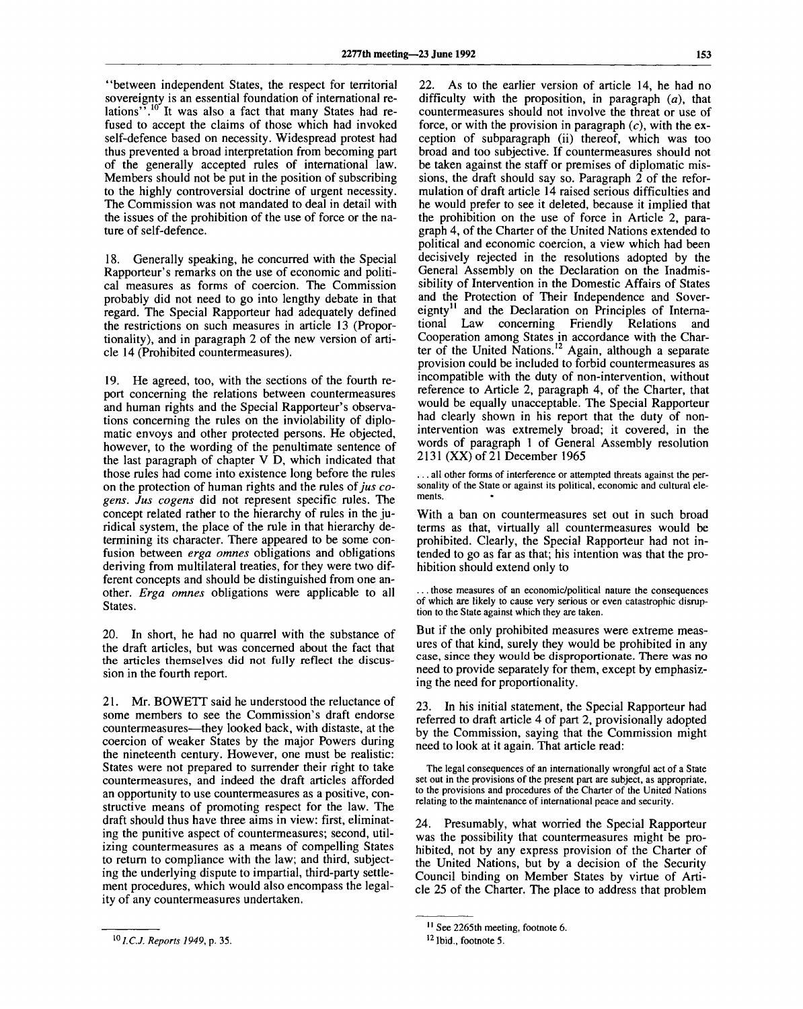"between independent States, the respect for territorial sovereignty is an essential foundation of international relations".<sup>10</sup> It was also a fact that many States had refused to accept the claims of those which had invoked self-defence based on necessity. Widespread protest had thus prevented a broad interpretation from becoming part of the generally accepted rules of international law. Members should not be put in the position of subscribing to the highly controversial doctrine of urgent necessity. The Commission was not mandated to deal in detail with the issues of the prohibition of the use of force or the nature of self-defence.

18. Generally speaking, he concurred with the Special Rapporteur's remarks on the use of economic and political measures as forms of coercion. The Commission probably did not need to go into lengthy debate in that regard. The Special Rapporteur had adequately defined the restrictions on such measures in article 13 (Proportionality), and in paragraph 2 of the new version of article 14 (Prohibited countermeasures).

19. He agreed, too, with the sections of the fourth report concerning the relations between countermeasures and human rights and the Special Rapporteur's observations concerning the rules on the inviolability of diplomatic envoys and other protected persons. He objected, however, to the wording of the penultimate sentence of the last paragraph of chapter V D, which indicated that those rules had come into existence long before the rules on the protection of human rights and the rules of *jus cogens. Jus cogens* did not represent specific rules. The concept related rather to the hierarchy of rules in the juridical system, the place of the rule in that hierarchy determining its character. There appeared to be some confusion between *erga omnes* obligations and obligations deriving from multilateral treaties, for they were two different concepts and should be distinguished from one another. *Erga omnes* obligations were applicable to all States.

20. In short, he had no quarrel with the substance of the draft articles, but was concerned about the fact that the articles themselves did not fully reflect the discussion in the fourth report.

21. Mr. BOWETT said he understood the reluctance of some members to see the Commission's draft endorse countermeasures—they looked back, with distaste, at the coercion of weaker States by the major Powers during the nineteenth century. However, one must be realistic: States were not prepared to surrender their right to take countermeasures, and indeed the draft articles afforded an opportunity to use countermeasures as a positive, constructive means of promoting respect for the law. The draft should thus have three aims in view: first, eliminating the punitive aspect of countermeasures; second, utilizing countermeasures as a means of compelling States to return to compliance with the law; and third, subjecting the underlying dispute to impartial, third-party settlement procedures, which would also encompass the legality of any countermeasures undertaken.

22. As to the earlier version of article 14, he had no difficulty with the proposition, in paragraph *(a),* that countermeasures should not involve the threat or use of force, or with the provision in paragraph  $(c)$ , with the exception of subparagraph (ii) thereof, which was too broad and too subjective. If countermeasures should not be taken against the staff or premises of diplomatic missions, the draft should say so. Paragraph 2 of the reformulation of draft article 14 raised serious difficulties and he would prefer to see it deleted, because it implied that the prohibition on the use of force in Article 2, paragraph 4, of the Charter of the United Nations extended to political and economic coercion, a view which had been decisively rejected in the resolutions adopted by the General Assembly on the Declaration on the Inadmissibility of Intervention in the Domestic Affairs of States and the Protection of Their Independence and Sovereignty<sup>11</sup> and the Declaration on Principles of Interna-<br>tional Law concerning Friendly Relations and tional Law concerning Friendly Relations and Cooperation among States in accordance with the Charter of the United Nations.<sup>12</sup> Again, although a separate provision could be included to forbid countermeasures as incompatible with the duty of non-intervention, without reference to Article 2, paragraph 4, of the Charter, that would be equally unacceptable. The Special Rapporteur had clearly shown in his report that the duty of nonintervention was extremely broad; it covered, in the words of paragraph 1 of General Assembly resolution 2131 (XX) of 21 December 1965

... all other forms of interference or attempted threats against the personality of the State or against its political, economic and cultural elements.

With a ban on countermeasures set out in such broad terms as that, virtually all countermeasures would be prohibited. Clearly, the Special Rapporteur had not intended to go as far as that; his intention was that the prohibition should extend only to

... those measures of an economic/political nature the consequences of which are likely to cause very serious or even catastrophic disruption to the State against which they are taken.

But if the only prohibited measures were extreme measures of that kind, surely they would be prohibited in any case, since they would be disproportionate. There was no need to provide separately for them, except by emphasizing the need for proportionality.

23. In his initial statement, the Special Rapporteur had referred to draft article 4 of part 2, provisionally adopted by the Commission, saying that the Commission might need to look at it again. That article read:

The legal consequences of an internationally wrongful act of a State set out in the provisions of the present part are subject, as appropriate, to the provisions and procedures of the Charter of the United Nations relating to the maintenance of international peace and security.

24. Presumably, what worried the Special Rapporteur was the possibility that countermeasures might be prohibited, not by any express provision of the Charter of the United Nations, but by a decision of the Security Council binding on Member States by virtue of Article 25 of the Charter. The place to address that problem

*X0I.C.J. Reports 1949,* p. 35.

<sup>&</sup>lt;sup>11</sup> See 2265th meeting, footnote 6.

<sup>&</sup>lt;sup>12</sup> Ibid., footnote 5.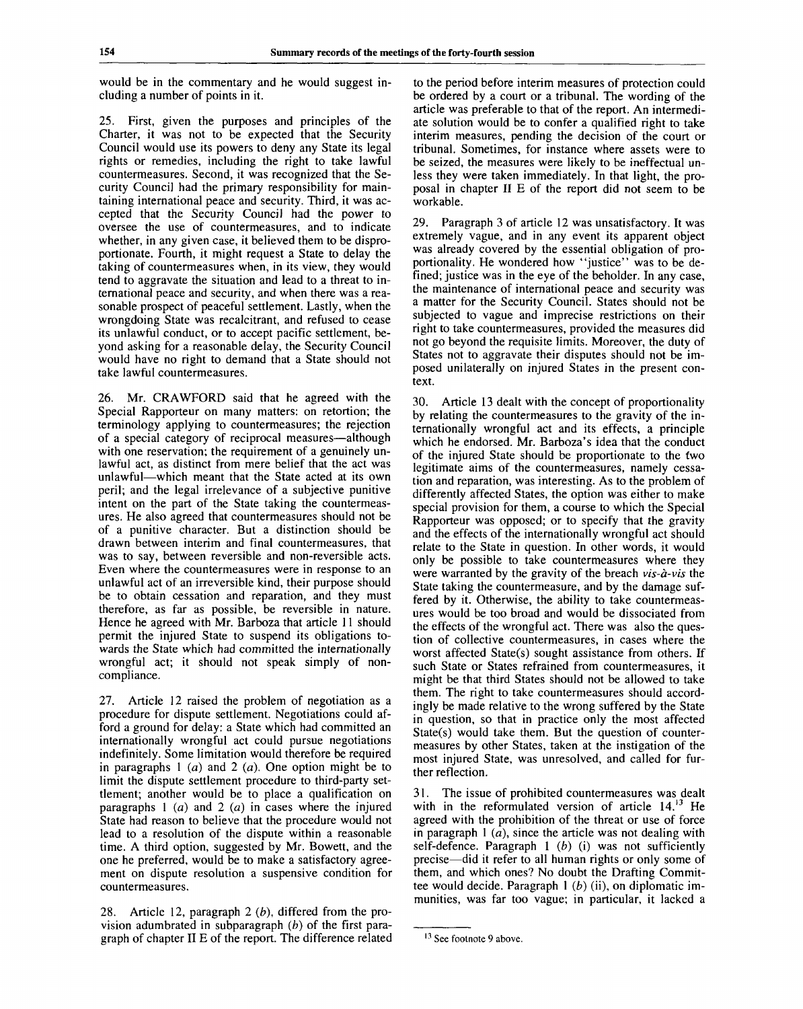would be in the commentary and he would suggest including a number of points in it.

25. First, given the purposes and principles of the Charter, it was not to be expected that the Security Council would use its powers to deny any State its legal rights or remedies, including the right to take lawful countermeasures. Second, it was recognized that the Security Council had the primary responsibility for maintaining international peace and security. Third, it was accepted that the Security Council had the power to oversee the use of countermeasures, and to indicate whether, in any given case, it believed them to be disproportionate. Fourth, it might request a State to delay the taking of countermeasures when, in its view, they would tend to aggravate the situation and lead to a threat to international peace and security, and when there was a reasonable prospect of peaceful settlement. Lastly, when the wrongdoing State was recalcitrant, and refused to cease its unlawful conduct, or to accept pacific settlement, beyond asking for a reasonable delay, the Security Council would have no right to demand that a State should not take lawful countermeasures.

26. Mr. CRAWFORD said that he agreed with the Special Rapporteur on many matters: on retortion; the terminology applying to countermeasures; the rejection of a special category of reciprocal measures—although with one reservation; the requirement of a genuinely unlawful act, as distinct from mere belief that the act was unlawful—which meant that the State acted at its own peril; and the legal irrelevance of a subjective punitive intent on the part of the State taking the countermeasures. He also agreed that countermeasures should not be of a punitive character. But a distinction should be drawn between interim and final countermeasures, that was to say, between reversible and non-reversible acts. Even where the countermeasures were in response to an unlawful act of an irreversible kind, their purpose should be to obtain cessation and reparation, and they must therefore, as far as possible, be reversible in nature. Hence he agreed with Mr. Barboza that article 11 should permit the injured State to suspend its obligations towards the State which had committed the internationally wrongful act; it should not speak simply of noncompliance.

27. Article 12 raised the problem of negotiation as a procedure for dispute settlement. Negotiations could afford a ground for delay: a State which had committed an internationally wrongful act could pursue negotiations indefinitely. Some limitation would therefore be required in paragraphs 1 *(a)* and 2 *(a).* One option might be to limit the dispute settlement procedure to third-party settlement; another would be to place a qualification on paragraphs 1 *(a)* and 2 *(a)* in cases where the injured State had reason to believe that the procedure would not lead to a resolution of the dispute within a reasonable time. A third option, suggested by Mr. Bowett, and the one he preferred, would be to make a satisfactory agreement on dispute resolution a suspensive condition for countermeasures.

28. Article 12, paragraph 2 *(b),* differed from the provision adumbrated in subparagraph *(b)* of the first paragraph of chapter II E of the report. The difference related to the period before interim measures of protection could be ordered by a court or a tribunal. The wording of the article was preferable to that of the report. An intermediate solution would be to confer a qualified right to take interim measures, pending the decision of the court or tribunal. Sometimes, for instance where assets were to be seized, the measures were likely to be ineffectual unless they were taken immediately. In that light, the proposal in chapter II E of the report did not seem to be workable.

29. Paragraph 3 of article 12 was unsatisfactory. It was extremely vague, and in any event its apparent object was already covered by the essential obligation of proportionality. He wondered how "justice" was to be defined; justice was in the eye of the beholder. In any case, the maintenance of international peace and security was a matter for the Security Council. States should not be subjected to vague and imprecise restrictions on their right to take countermeasures, provided the measures did not go beyond the requisite limits. Moreover, the duty of States not to aggravate their disputes should not be imposed unilaterally on injured States in the present context.

30. Article 13 dealt with the concept of proportionality by relating the countermeasures to the gravity of the internationally wrongful act and its effects, a principle which he endorsed. Mr. Barboza's idea that the conduct of the injured State should be proportionate to the fwo legitimate aims of the countermeasures, namely cessation and reparation, was interesting. As to the problem of differently affected States, the option was either to make special provision for them, a course to which the Special Rapporteur was opposed; or to specify that the gravity and the effects of the internationally wrongful act should relate to the State in question. In other words, it would only be possible to take countermeasures where they were warranted by the gravity of the breach *vis-a-vis* the State taking the countermeasure, and by the damage suffered by it. Otherwise, the ability to take countermeasures would be too broad and would be dissociated from the effects of the wrongful act. There was also the question of collective countermeasures, in cases where the worst affected State(s) sought assistance from others. If such State or States refrained from countermeasures, it might be that third States should not be allowed to take them. The right to take countermeasures should accordingly be made relative to the wrong suffered by the State in question, so that in practice only the most affected State(s) would take them. But the question of countermeasures by other States, taken at the instigation of the most injured State, was unresolved, and called for further reflection.

31. The issue of prohibited countermeasures was dealt with in the reformulated version of article  $14$ ,<sup>13</sup> He agreed with the prohibition of the threat or use of force in paragraph 1 *(a),* since the article was not dealing with self-defence. Paragraph 1 *(b)* (i) was not sufficiently precise—did it refer to all human rights or only some of them, and which ones? No doubt the Drafting Committee would decide. Paragraph 1 *(b)* (ii), on diplomatic immunities, was far too vague; in particular, it lacked a

<sup>&</sup>lt;sup>13</sup> See footnote 9 above.